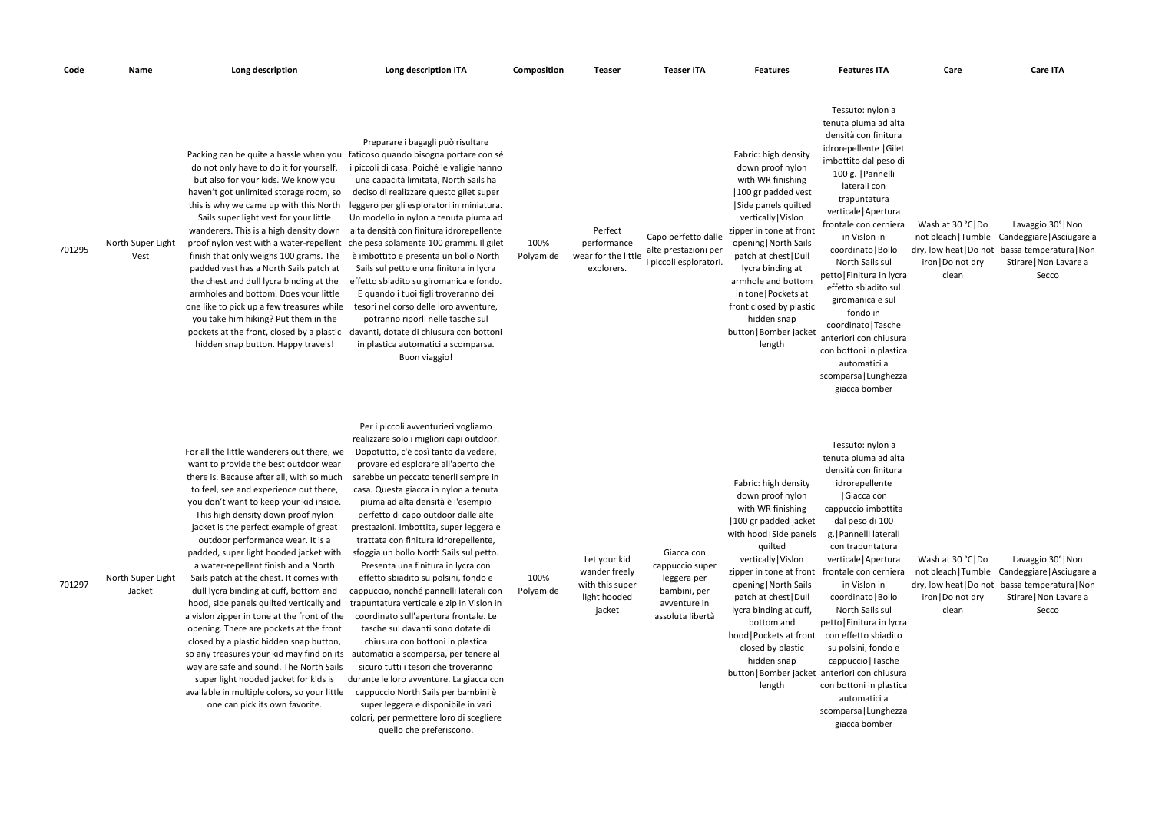| Code   | Name                        | Long description                                                                                                                                                                                                                                                                                                                                                                                                                                                                                                                                                                                                                                                                                                                                                                                                                                                                                                      | Long description ITA                                                                                                                                                                                                                                                                                                                                                                                                                                                                                                                                                                                                                                                                                                                                                                                                                                                                                                                                                                                                                  | Composition       | Teaser                                                                     | <b>Teaser ITA</b>                                                                                | <b>Features</b>                                                                                                                                                                                                                                                                                                                                                | <b>Features ITA</b>                                                                                                                                                                                                                                                                                                                                                                                                                                                                                                                        | Care                                                                     | <b>Care ITA</b>                                                                                                                                        |
|--------|-----------------------------|-----------------------------------------------------------------------------------------------------------------------------------------------------------------------------------------------------------------------------------------------------------------------------------------------------------------------------------------------------------------------------------------------------------------------------------------------------------------------------------------------------------------------------------------------------------------------------------------------------------------------------------------------------------------------------------------------------------------------------------------------------------------------------------------------------------------------------------------------------------------------------------------------------------------------|---------------------------------------------------------------------------------------------------------------------------------------------------------------------------------------------------------------------------------------------------------------------------------------------------------------------------------------------------------------------------------------------------------------------------------------------------------------------------------------------------------------------------------------------------------------------------------------------------------------------------------------------------------------------------------------------------------------------------------------------------------------------------------------------------------------------------------------------------------------------------------------------------------------------------------------------------------------------------------------------------------------------------------------|-------------------|----------------------------------------------------------------------------|--------------------------------------------------------------------------------------------------|----------------------------------------------------------------------------------------------------------------------------------------------------------------------------------------------------------------------------------------------------------------------------------------------------------------------------------------------------------------|--------------------------------------------------------------------------------------------------------------------------------------------------------------------------------------------------------------------------------------------------------------------------------------------------------------------------------------------------------------------------------------------------------------------------------------------------------------------------------------------------------------------------------------------|--------------------------------------------------------------------------|--------------------------------------------------------------------------------------------------------------------------------------------------------|
| 701295 | North Super Light<br>Vest   | Packing can be quite a hassle when you<br>do not only have to do it for yourself,<br>but also for your kids. We know you<br>haven't got unlimited storage room, so<br>this is why we came up with this North<br>Sails super light vest for your little<br>wanderers. This is a high density down<br>finish that only weighs 100 grams. The<br>padded vest has a North Sails patch at<br>the chest and dull lycra binding at the<br>armholes and bottom. Does your little<br>one like to pick up a few treasures while<br>you take him hiking? Put them in the<br>pockets at the front, closed by a plastic<br>hidden snap button. Happy travels!                                                                                                                                                                                                                                                                      | Preparare i bagagli può risultare<br>faticoso quando bisogna portare con sé<br>i piccoli di casa. Poiché le valigie hanno<br>una capacità limitata, North Sails ha<br>deciso di realizzare questo gilet super<br>leggero per gli esploratori in miniatura.<br>Un modello in nylon a tenuta piuma ad<br>alta densità con finitura idrorepellente<br>proof nylon vest with a water-repellent che pesa solamente 100 grammi. Il gilet<br>è imbottito e presenta un bollo North<br>Sails sul petto e una finitura in lycra<br>effetto sbiadito su giromanica e fondo.<br>E quando i tuoi figli troveranno dei<br>tesori nel corso delle loro avventure,<br>potranno riporli nelle tasche sul<br>davanti, dotate di chiusura con bottoni<br>in plastica automatici a scomparsa.<br>Buon viaggio!                                                                                                                                                                                                                                           | 100%<br>Polyamide | Perfect<br>performance<br>wear for the little<br>explorers.                | Capo perfetto dalle<br>alte prestazioni per<br>i piccoli esploratori.                            | Fabric: high density<br>down proof nylon<br>with WR finishing<br>100 gr padded vest<br>Side panels quilted<br>vertically   Vislon<br>zipper in tone at front<br>opening   North Sails<br>patch at chest   Dull<br>lycra binding at<br>armhole and bottom<br>in tone   Pockets at<br>front closed by plastic<br>hidden snap<br>button   Bomber jacket<br>length | Tessuto: nylon a<br>tenuta piuma ad alta<br>densità con finitura<br>idrorepellente   Gilet<br>imbottito dal peso di<br>100 g.   Pannelli<br>laterali con<br>trapuntatura<br>verticale   Apertura<br>frontale con cerniera<br>in Vislon in<br>coordinato   Bollo<br>North Sails sul<br>petto   Finitura in lycra<br>effetto sbiadito sul<br>giromanica e sul<br>fondo in<br>coordinato   Tasche<br>anteriori con chiusura<br>con bottoni in plastica<br>automatici a<br>scomparsa   Lunghezza<br>giacca bomber                              | Wash at 30 °C Do<br>dry, low heat   Do not<br>iron   Do not dry<br>clean | Lavaggio 30° Non<br>not bleach   Tumble Candeggiare   Asciugare a<br>bassa temperatura   Non<br>Stirare   Non Lavare a<br>Secco                        |
| 701297 | North Super Light<br>Jacket | For all the little wanderers out there, we<br>want to provide the best outdoor wear<br>there is. Because after all, with so much<br>to feel, see and experience out there,<br>you don't want to keep your kid inside.<br>This high density down proof nylon<br>jacket is the perfect example of great<br>outdoor performance wear. It is a<br>padded, super light hooded jacket with<br>a water-repellent finish and a North<br>Sails patch at the chest. It comes with<br>dull lycra binding at cuff, bottom and<br>hood, side panels quilted vertically and<br>a vislon zipper in tone at the front of the<br>opening. There are pockets at the front<br>closed by a plastic hidden snap button,<br>so any treasures your kid may find on its<br>way are safe and sound. The North Sails<br>super light hooded jacket for kids is<br>available in multiple colors, so your little<br>one can pick its own favorite. | Per i piccoli avventurieri vogliamo<br>realizzare solo i migliori capi outdoor.<br>Dopotutto, c'è così tanto da vedere,<br>provare ed esplorare all'aperto che<br>sarebbe un peccato tenerli sempre in<br>casa. Questa giacca in nylon a tenuta<br>piuma ad alta densità è l'esempio<br>perfetto di capo outdoor dalle alte<br>prestazioni. Imbottita, super leggera e<br>trattata con finitura idrorepellente,<br>sfoggia un bollo North Sails sul petto.<br>Presenta una finitura in lycra con<br>effetto sbiadito su polsini, fondo e<br>cappuccio, nonché pannelli laterali con<br>trapuntatura verticale e zip in Vislon in<br>coordinato sull'apertura frontale. Le<br>tasche sul davanti sono dotate di<br>chiusura con bottoni in plastica<br>automatici a scomparsa, per tenere al<br>sicuro tutti i tesori che troveranno<br>durante le loro avventure. La giacca con<br>cappuccio North Sails per bambini è<br>super leggera e disponibile in vari<br>colori, per permettere loro di scegliere<br>quello che preferiscono. | 100%<br>Polyamide | Let your kid<br>wander freely<br>with this super<br>light hooded<br>jacket | Giacca con<br>cappuccio super<br>leggera per<br>bambini, per<br>avventure in<br>assoluta libertà | Fabric: high density<br>down proof nylon<br>with WR finishing<br>100 gr padded jacket<br>with hood Side panels<br>quilted<br>vertically   Vislon<br>zipper in tone at front<br>opening   North Sails<br>patch at chest   Dull<br>lycra binding at cuff,<br>bottom and<br>hood   Pockets at front<br>closed by plastic<br>hidden snap<br>length                 | Tessuto: nylon a<br>tenuta piuma ad alta<br>densità con finitura<br>idrorepellente<br>Giacca con<br>cappuccio imbottita<br>dal peso di 100<br>g.   Pannelli laterali<br>con trapuntatura<br>verticale   Apertura<br>frontale con cerniera<br>in Vislon in<br>coordinato   Bollo<br>North Sails sul<br>petto   Finitura in lycra<br>con effetto sbiadito<br>su polsini, fondo e<br>cappuccio   Tasche<br>button   Bomber jacket anteriori con chiusura<br>con bottoni in plastica<br>automatici a<br>scomparsa   Lunghezza<br>giacca bomber | Wash at 30 °C Do<br>iron   Do not dry<br>clean                           | Lavaggio 30° Non<br>not bleach   Tumble Candeggiare   Asciugare a<br>dry, low heat   Do not bassa temperatura   Non<br>Stirare   Non Lavare a<br>Secco |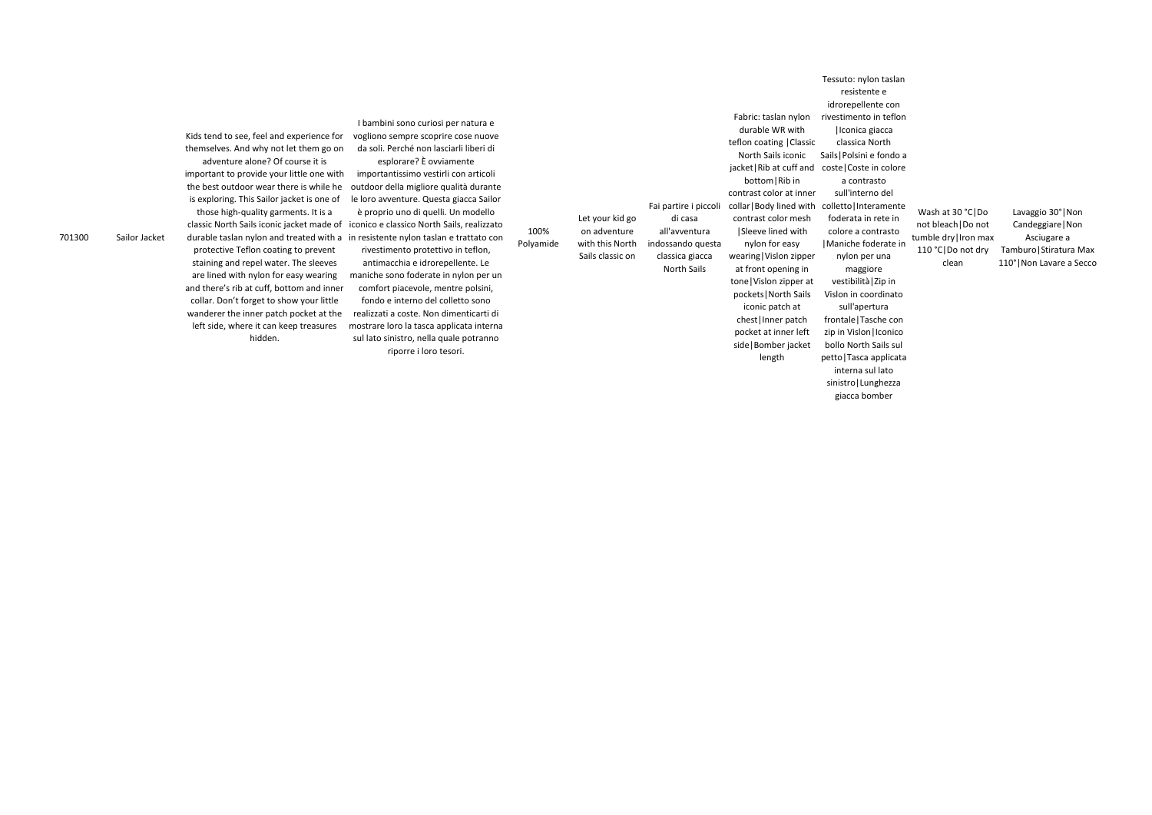701300 Sailor Jacket

Kids tend to see, feel and experience for themselves. And why not let them go on adventure alone? Of course it is important to provide your little one with the best outdoor wear there is while he is exploring. This Sailor jacket is one of those high-quality garments. It is a durable taslan nylon and treated with a protective Teflon coating to prevent staining and repel water. The sleeves are lined with nylon for easy wearing and there's rib at cuff, bottom and inner collar. Don't forget to show your little wanderer the inner patch pocket at the left side, where it can keep treasures hidden.

classic North Sails iconic jacket made of iconico e classico North Sails, realizzato I bambini sono curiosi per natura e vogliono sempre scoprire cose nuove da soli. Perché non lasciarli liberi di esplorare? È ovviamente importantissimo vestirli con articoli outdoor della migliore qualità durante le loro avventure. Questa giacca Sailor è proprio uno di quelli. Un modello in resistente nylon taslan e trattato con rivestimento protettivo in teflon, antimacchia e idrorepellente. Le maniche sono foderate in nylon per un comfort piacevole, mentre polsini, fondo e interno del colletto sono realizzati a coste. Non dimenticarti di mostrare loro la tasca applicata interna sul lato sinistro, nella quale potranno riporre i loro tesori.

100% Polyamide Let your kid go on adventure with this North Sails classic on Fai partire i piccoli di casa all'avventura indossando questa classica giacca

North Sails

Fabric: taslan nylon durable WR with teflon coating |Classic North Sails iconic jacket|Rib at cuff and coste|Coste in colore bottom|Rib in contrast color at inner collar|Body lined with contrast color mesh |Sleeve lined with nylon for easy wearing|Vislon zipper at front opening in tone|Vislon zipper at pockets|North Sails iconic patch at

Lavaggio 30°|Non Candeggiare|Non Asciugare a Tamburo|Stiratura Max 110°|Non Lavare a Secco Tessuto: nylon taslan resistente e idrorepellente con rivestimento in teflon |Iconica giacca classica North Sails|Polsini e fondo a a contrasto sull'interno del colletto|Interamente foderata in rete in colore a contrasto |Maniche foderate in nylon per una maggiore vestibilità|Zip in Vislon in coordinato sull'apertura frontale|Tasche con zip in Vislon | Iconico bollo North Sails sul petto|Tasca applicata interna sul lato sinistro|Lunghezza Wash at 30 °C|Do not bleach|Do not tumble dry|Iron max 110 °C|Do not dry clean

chest|Inner patch pocket at inner left side|Bomber jacket length

giacca bomber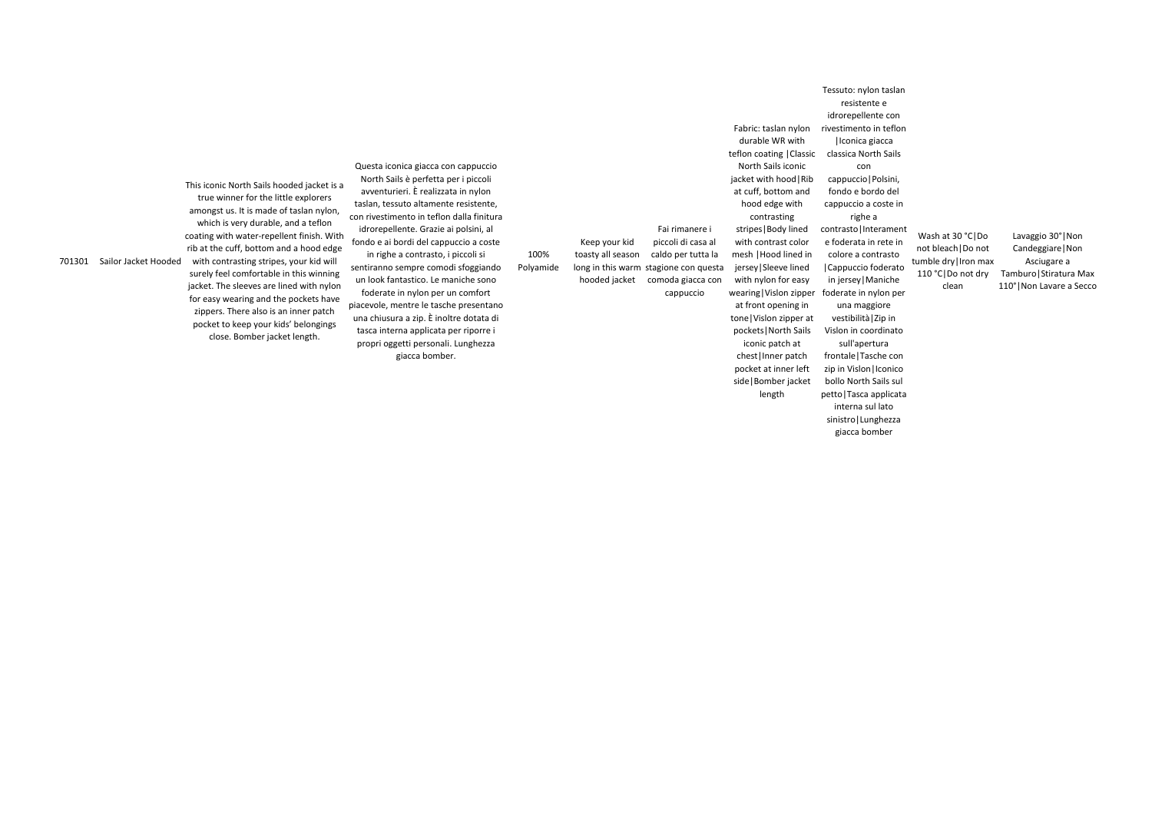701301 Sailor Jacket Hooded

This iconic North Sails hooded jacket is a true winner for the little explorers amongst us. It is made of taslan nylon, which is very durable, and a teflon coating with water-repellent finish. With rib at the cuff, bottom and a hood edge with contrasting stripes, your kid will surely feel comfortable in this winning jacket. The sleeves are lined with nylon for easy wearing and the pockets have zippers. There also is an inner patch pocket to keep your kids' belongings close. Bomber jacket length.

Questa iconica giacca con cappuccio North Sails è perfetta per i piccoli avventurieri. È realizzata in nylon taslan, tessuto altamente resistente, con rivestimento in teflon dalla finitura idrorepellente. Grazie ai polsini, al fondo e ai bordi del cappuccio a coste in righe a contrasto, i piccoli si sentiranno sempre comodi sfoggiando un look fantastico. Le maniche sono foderate in nylon per un comfort piacevole, mentre le tasche presentano una chiusura a zip. È inoltre dotata di tasca interna applicata per riporre i propri oggetti personali. Lunghezza giacca bomber. 100% Polyamide

Keep your kid toasty all season

Fai rimanere i piccoli di casa al caldo per tutta la

long in this warm stagione con questa hooded jacket comoda giacca con

cappuccio

Fabric: taslan nylon durable WR with

North Sails iconic jacket with hood|Rib at cuff, bottom and hood edge with contrasting stripes|Body lined with contrast color mesh |Hood lined in jersey|Sleeve lined with nylon for easy

at front opening in tone|Vislon zipper at pockets|North Sails iconic patch at chest|Inner patch pocket at inner left side|Bomber jacket length

teflon coating |Classic wearing|Vislon zipper Tessuto: nylon taslan resistente e idrorepellente con rivestimento in teflon |Iconica giacca classica North Sails con cappuccio|Polsini, fondo e bordo del cappuccio a coste in righe a contrasto|Interament e foderata in rete in colore a contrasto |Cappuccio foderato in jersey|Maniche foderate in nylon per una maggiore vestibilità|Zip in Vislon in coordinato sull'apertura frontale|Tasche con zip in Vislon | Iconico bollo North Sails sul petto|Tasca applicata Wash at 30 °C|Do not bleach|Do not tumble dry|Iron max 110 °C|Do not dry clean Lavaggio 30°|Non Candeggiare|Non Asciugare a Tamburo|Stiratura Max 110°|Non Lavare a Secco

interna sul lato sinistro|Lunghezza giacca bomber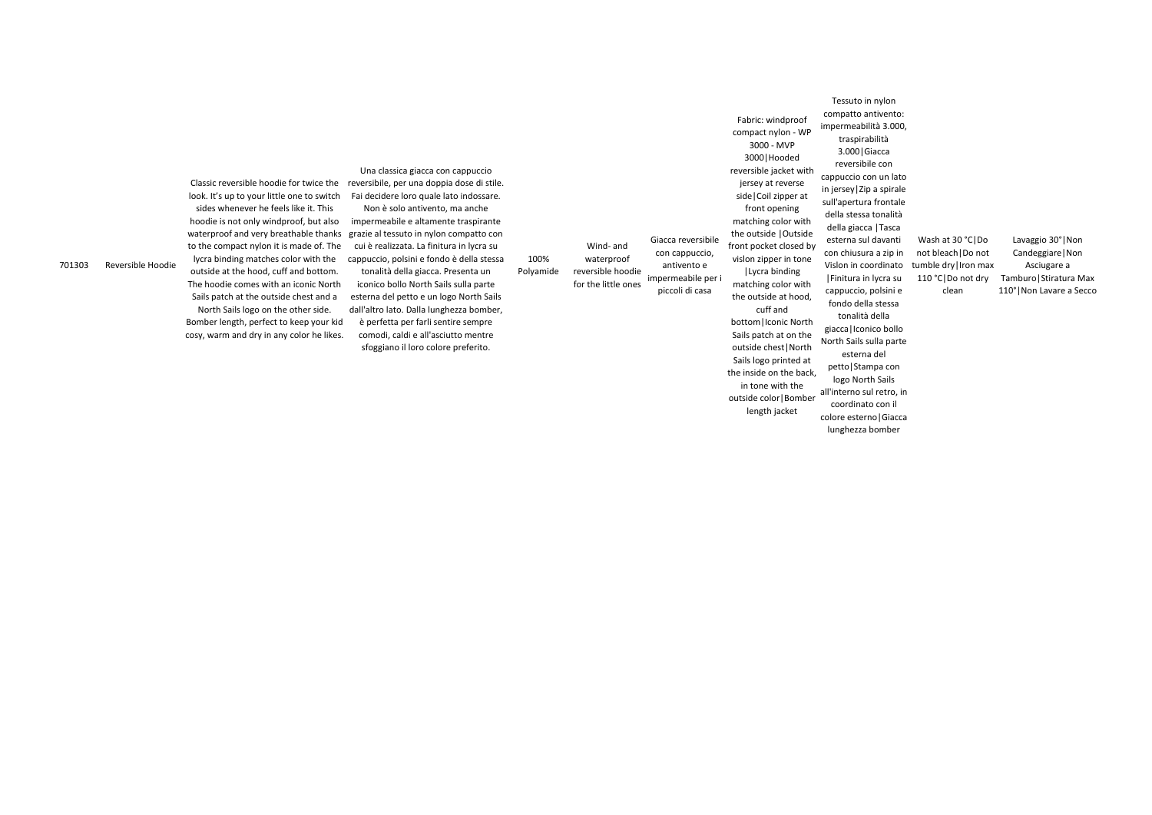701303 Reversible Hoodie

Classic reversible hoodie for twice the look. It's up to your little one to switch sides whenever he feels like it. This hoodie is not only windproof, but also waterproof and very breathable thanks to the compact nylon it is made of. The lycra binding matches color with the outside at the hood, cuff and bottom. The hoodie comes with an iconic North Sails patch at the outside chest and a North Sails logo on the other side. Bomber length, perfect to keep your kid

Una classica giacca con cappuccio reversibile, per una doppia dose di stile. Fai decidere loro quale lato indossare.

cosy, warm and dry in any color he likes. Non è solo antivento, ma anche impermeabile e altamente traspirante grazie al tessuto in nylon compatto con cui è realizzata. La finitura in lycra su cappuccio, polsini e fondo è della stessa tonalità della giacca. Presenta un iconico bollo North Sails sulla parte esterna del petto e un logo North Sails dall'altro lato. Dalla lunghezza bomber, è perfetta per farli sentire sempre comodi, caldi e all'asciutto mentre

sfoggiano il loro colore preferito.

Lavaggio 30°|Non Candeggiare|Non Asciugare a Tamburo|Stiratura Max 110°|Non Lavare a Secco

100% Polyamide

Wind- and waterproof reversible hoodie for the little ones Giacca reversibile con cappuccio, antivento e impermeabile per i piccoli di casa compact nylon - WP 3000 - MVP

Fabric: windproof

reversible jacket with jersey at reverse side|Coil zipper at front opening matching color with the outside |Outside front pocket closed by vislon zipper in tone

3000|Hooded |Lycra binding

matching color with

the outside at hood, cuff and bottom|Iconic North

Sails patch at on the

outside chest|North Sails logo printed at the inside on the back, in tone with the outside color|Bomber length jacket

Tessuto in nylon compatto antivento: impermeabilità 3.000, traspirabilità 3.000|Giacca reversibile con cappuccio con un lato in jersey|Zip a spirale sull'apertura frontale della stessa tonalità della giacca |Tasca esterna sul davanti con chiusura a zip in Vislon in coordinato |Finitura in lycra su cappuccio, polsini e fondo della stessa tonalità della giacca|Iconico bollo North Sails sulla parte esterna del petto|Stampa con logo North Sails coordinato con il colore esterno|Giacca Wash at 30 °C|Do not bleach|Do not tumble dry|Iron max 110 °C|Do not dry clean

all'interno sul retro, in

lunghezza bomber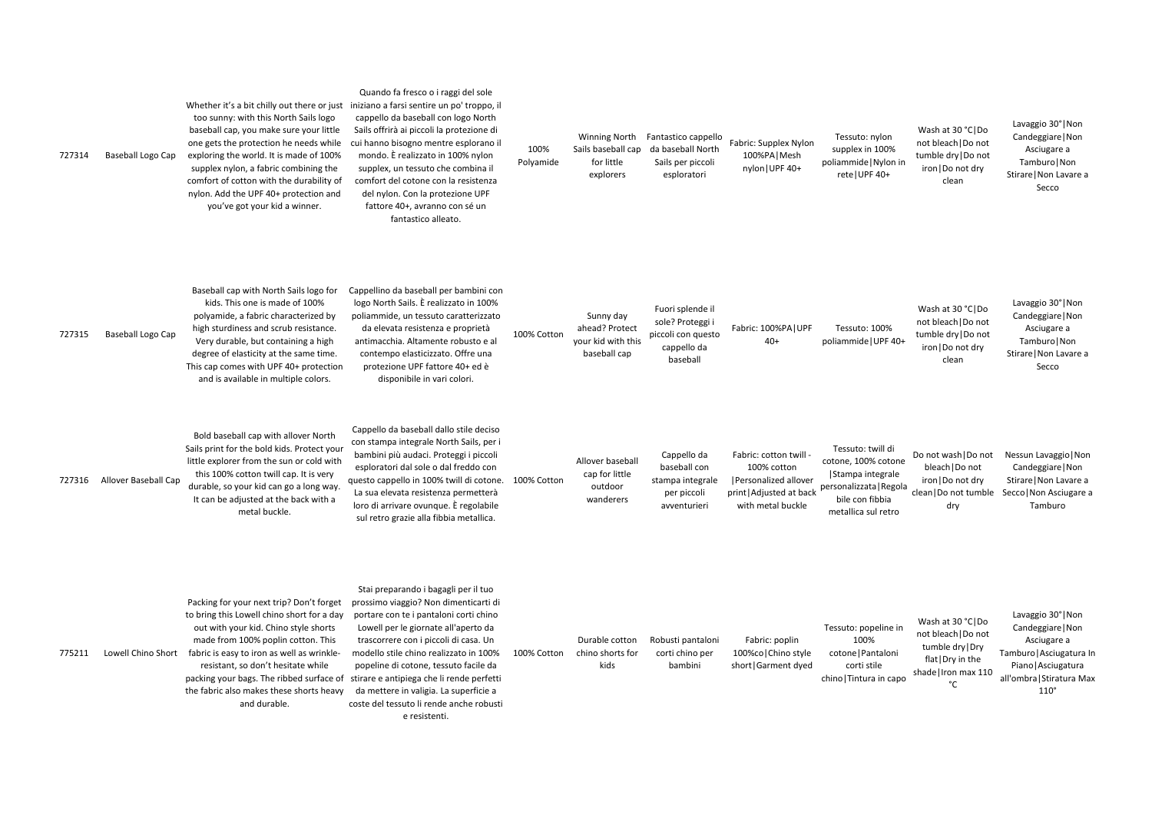Wash at 30 °C|Do not bleach|Do not tumble dry|Do not iron|Do not dry clean

Lavaggio 30°|Non Candeggiare|Non Asciugare a Tamburo|Non Stirare|Non Lavare a Secco

100%  $|UPF 40+$ 

Lavaggio 30°|Non Candeggiare|Non Asciugare a Tamburo|Non Stirare|Non Lavare a Secco

twill di % cotone tegrale ta | Regola fibbia ul retro

| 727314 | Baseball Logo Cap        | Whether it's a bit chilly out there or just<br>too sunny: with this North Sails logo<br>baseball cap, you make sure your little<br>one gets the protection he needs while<br>exploring the world. It is made of 100%<br>supplex nylon, a fabric combining the<br>comfort of cotton with the durability of<br>nylon. Add the UPF 40+ protection and<br>you've got your kid a winner. | Quando fa fresco o i raggi del sole<br>iniziano a farsi sentire un po' troppo, il<br>cappello da baseball con logo North<br>Sails offrirà ai piccoli la protezione di<br>cui hanno bisogno mentre esplorano il<br>mondo. È realizzato in 100% nylon<br>supplex, un tessuto che combina il<br>comfort del cotone con la resistenza<br>del nylon. Con la protezione UPF<br>fattore 40+, avranno con sé un<br>fantastico alleato.                  | 100%<br>Polyamide | <b>Winning North</b><br>Sails baseball cap<br>for little<br>explorers | Fantastico cappello<br>da baseball North<br>Sails per piccoli<br>esploratori          | Fabric: Supplex Nylon<br>100%PA   Mesh<br>nylon   UPF 40+                                                      | Tessuto: n<br>supplex in 1<br>poliammide   M<br>rete   UPF                                    |
|--------|--------------------------|-------------------------------------------------------------------------------------------------------------------------------------------------------------------------------------------------------------------------------------------------------------------------------------------------------------------------------------------------------------------------------------|-------------------------------------------------------------------------------------------------------------------------------------------------------------------------------------------------------------------------------------------------------------------------------------------------------------------------------------------------------------------------------------------------------------------------------------------------|-------------------|-----------------------------------------------------------------------|---------------------------------------------------------------------------------------|----------------------------------------------------------------------------------------------------------------|-----------------------------------------------------------------------------------------------|
| 727315 | <b>Baseball Logo Cap</b> | Baseball cap with North Sails logo for<br>kids. This one is made of 100%<br>polyamide, a fabric characterized by<br>high sturdiness and scrub resistance.<br>Very durable, but containing a high<br>degree of elasticity at the same time.<br>This cap comes with UPF 40+ protection<br>and is available in multiple colors.                                                        | Cappellino da baseball per bambini con<br>logo North Sails. È realizzato in 100%<br>poliammide, un tessuto caratterizzato<br>da elevata resistenza e proprietà<br>antimacchia. Altamente robusto e al<br>contempo elasticizzato. Offre una<br>protezione UPF fattore 40+ ed è<br>disponibile in vari colori.                                                                                                                                    | 100% Cotton       | Sunny day<br>ahead? Protect<br>your kid with this<br>baseball cap     | Fuori splende il<br>sole? Proteggi i<br>piccoli con questo<br>cappello da<br>baseball | Fabric: 100%PA   UPF<br>$40+$                                                                                  | Tessuto: 1<br>poliammide   l                                                                  |
| 727316 | Allover Baseball Cap     | Bold baseball cap with allover North<br>Sails print for the bold kids. Protect your<br>little explorer from the sun or cold with<br>this 100% cotton twill cap. It is very<br>durable, so your kid can go a long way.<br>It can be adjusted at the back with a<br>metal buckle.                                                                                                     | Cappello da baseball dallo stile deciso<br>con stampa integrale North Sails, per i<br>bambini più audaci. Proteggi i piccoli<br>esploratori dal sole o dal freddo con<br>questo cappello in 100% twill di cotone.<br>La sua elevata resistenza permetterà<br>loro di arrivare ovunque. È regolabile<br>sul retro grazie alla fibbia metallica.                                                                                                  | 100% Cotton       | Allover baseball<br>cap for little<br>outdoor<br>wanderers            | Cappello da<br>baseball con<br>stampa integrale<br>per piccoli<br>avventurieri        | Fabric: cotton twill -<br>100% cotton<br>Personalized allover<br>print   Adjusted at back<br>with metal buckle | Tessuto: tw<br>cotone, 100%<br>Stampa inte<br>personalizzata<br>bile con fil<br>metallica sul |
| 775211 | Lowell Chino Short       | Packing for your next trip? Don't forget<br>to bring this Lowell chino short for a day<br>out with your kid. Chino style shorts<br>made from 100% poplin cotton. This<br>fabric is easy to iron as well as wrinkle-<br>resistant, so don't hesitate while<br>packing your bags. The ribbed surface of<br>the fabric also makes these shorts heavy<br>and durable.                   | Stai preparando i bagagli per il tuo<br>prossimo viaggio? Non dimenticarti di<br>portare con te i pantaloni corti chino<br>Lowell per le giornate all'aperto da<br>trascorrere con i piccoli di casa. Un<br>modello stile chino realizzato in 100%<br>popeline di cotone, tessuto facile da<br>stirare e antipiega che li rende perfetti<br>da mettere in valigia. La superficie a<br>coste del tessuto li rende anche robusti<br>e resistenti. | 100% Cotton       | Durable cotton<br>chino shorts for<br>kids                            | Robusti pantaloni<br>corti chino per<br>bambini                                       | Fabric: poplin<br>100%co Chino style<br>short   Garment dyed                                                   | Tessuto: pop<br>100%<br>cotone   Pan<br>corti sti<br>chino   Tintura                          |

nylon 100% <sub>١</sub> | Nylon in  $:40+$ 

> Wash at 30 °C|Do not bleach|Do not tumble dry|Do not iron|Do not dry clean

bleach|Do not iron|Do not dry dry

Do not wash|Do not Nessun Lavaggio|Non clean|Do not tumble Secco|Non Asciugare a Candeggiare|Non Stirare|Non Lavare a Tamburo

peline in ntaloni tile ra in capo

Lavaggio 30°|Non Candeggiare|Non Asciugare a Tamburo|Asciugatura In Piano|Asciugatura all'ombra|Stiratura Max 110°

Wash at 30 °C|Do not bleach|Do not tumble dry|Dry flat|Dry in the shade|Iron max 110 °C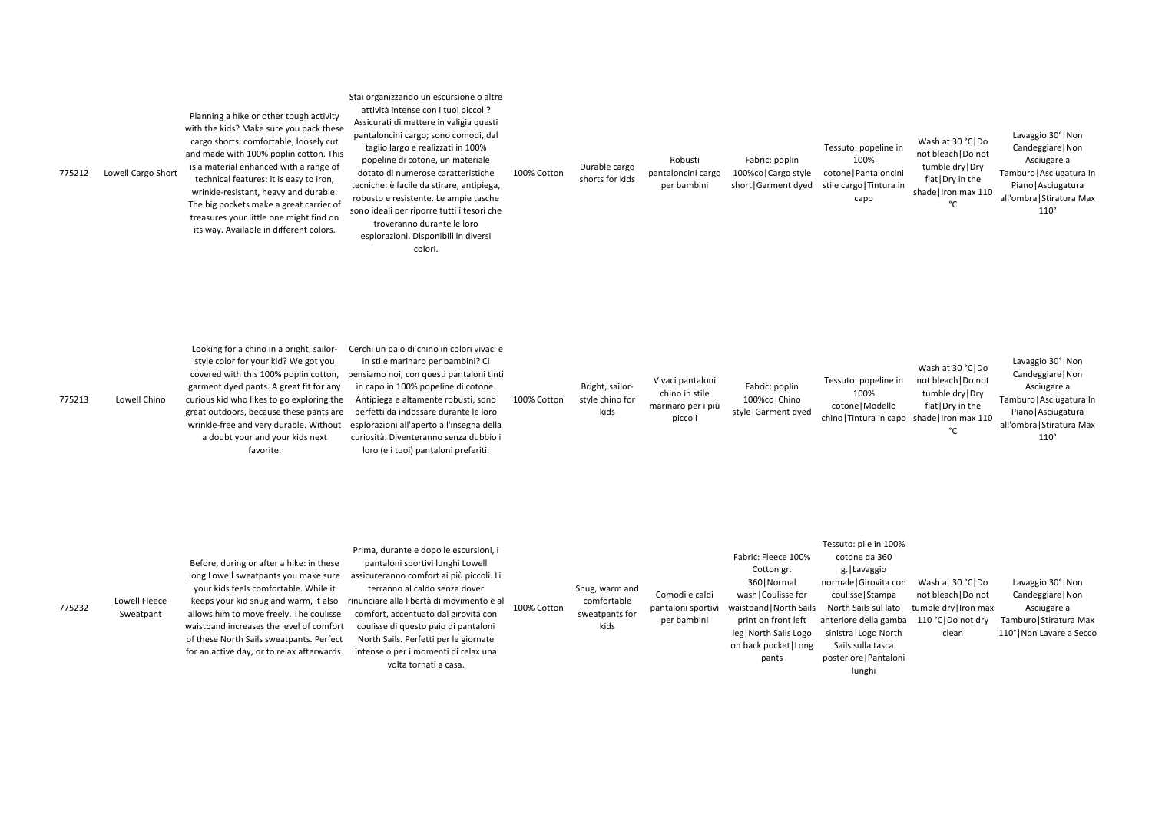Wash at 30 °C|Do not bleach|Do not tumble dry|Dry flat|Dry in the shade|Iron max 110  $^{\circ}$ C

Lavaggio 30°|Non Candeggiare|Non Asciugare a Tamburo|Asciugatura In Piano|Asciugatura all'ombra|Stiratura Max 110°

| 775212 | Lowell Cargo Short | Planning a hike or other tough activity<br>with the kids? Make sure you pack these<br>cargo shorts: comfortable, loosely cut<br>and made with 100% poplin cotton. This<br>is a material enhanced with a range of<br>technical features: it is easy to iron,<br>wrinkle-resistant, heavy and durable.<br>The big pockets make a great carrier of<br>treasures your little one might find on<br>its way. Available in different colors. | Stai organizzando un'escursione o altre<br>attività intense con i tuoi piccoli?<br>Assicurati di mettere in valigia questi<br>pantaloncini cargo; sono comodi, dal<br>taglio largo e realizzati in 100%<br>popeline di cotone, un materiale<br>dotato di numerose caratteristiche<br>tecniche: è facile da stirare, antipiega,<br>robusto e resistente. Le ampie tasche<br>sono ideali per riporre tutti i tesori che<br>troveranno durante le loro<br>esplorazioni. Disponibili in diversi<br>colori. | 100% Cotton | Durable cargo<br>shorts for kids           | Robusti<br>pantaloncini cargo<br>per bambini                        | Fabric: poplin<br>100%co   Cargo style<br>short   Garment dyed | Tessuto: pope<br>100%<br>cotone   Pantal<br>stile cargo   Tin<br>capo |
|--------|--------------------|---------------------------------------------------------------------------------------------------------------------------------------------------------------------------------------------------------------------------------------------------------------------------------------------------------------------------------------------------------------------------------------------------------------------------------------|--------------------------------------------------------------------------------------------------------------------------------------------------------------------------------------------------------------------------------------------------------------------------------------------------------------------------------------------------------------------------------------------------------------------------------------------------------------------------------------------------------|-------------|--------------------------------------------|---------------------------------------------------------------------|----------------------------------------------------------------|-----------------------------------------------------------------------|
| 775213 | Lowell Chino       | Looking for a chino in a bright, sailor-<br>style color for your kid? We got you<br>covered with this 100% poplin cotton,<br>garment dyed pants. A great fit for any<br>curious kid who likes to go exploring the<br>great outdoors, because these pants are<br>wrinkle-free and very durable. Without<br>a doubt your and your kids next<br>favorite.                                                                                | Cerchi un paio di chino in colori vivaci e<br>in stile marinaro per bambini? Ci<br>pensiamo noi, con questi pantaloni tinti<br>in capo in 100% popeline di cotone.<br>Antipiega e altamente robusti, sono<br>perfetti da indossare durante le loro<br>esplorazioni all'aperto all'insegna della<br>curiosità. Diventeranno senza dubbio i<br>loro (e i tuoi) pantaloni preferiti.                                                                                                                      | 100% Cotton | Bright, sailor-<br>style chino for<br>kids | Vivaci pantaloni<br>chino in stile<br>marinaro per i più<br>piccoli | Fabric: poplin<br>100%co   Chino<br>style   Garment dyed       | Tessuto: pope<br>100%<br>cotone   Moo<br>chino   Tintura i            |

Lavaggio 30°|Non Candeggiare|Non Asciugare a Tamburo|Asciugatura In Piano|Asciugatura all'ombra|Stiratura Max 110°

| Lowell Fleece<br>775232<br>Sweatpant | Before, during or after a hike: in these<br>long Lowell sweatpants you make sure<br>your kids feels comfortable. While it<br>keeps your kid snug and warm, it also<br>allows him to move freely. The coulisse<br>waistband increases the level of comfort<br>of these North Sails sweatpants. Perfect<br>for an active day, or to relax afterwards. | Prima, durante e dopo le escursioni, i<br>pantaloni sportivi lunghi Lowell<br>assicureranno comfort ai più piccoli. Li<br>terranno al caldo senza dover<br>rinunciare alla libertà di movimento e al<br>comfort, accentuato dal girovita con<br>coulisse di questo paio di pantaloni<br>North Sails. Perfetti per le giornate<br>intense o per i momenti di relax una<br>volta tornati a casa. | 100% Cotton | Snug, warm and<br>comfortable<br>sweatpants for<br>kids | Comodi e caldi<br>pantaloni sportivi<br>per bambini | Fabric: Fleece 100%<br>Cotton gr.<br>360   Normal<br>wash   Coulisse for<br>waistband   North Sails<br>print on front left<br>leg   North Sails Logo<br>on back pocket   Long<br>pants | Tessuto: pile<br>cotone d<br>g.   Lava<br>normale   Gir<br>coulisse   S<br><b>North Sails</b><br>anteriore de<br>sinistra   Log<br>Sails sulla<br>posteriore   F<br>lungl |
|--------------------------------------|-----------------------------------------------------------------------------------------------------------------------------------------------------------------------------------------------------------------------------------------------------------------------------------------------------------------------------------------------------|------------------------------------------------------------------------------------------------------------------------------------------------------------------------------------------------------------------------------------------------------------------------------------------------------------------------------------------------------------------------------------------------|-------------|---------------------------------------------------------|-----------------------------------------------------|----------------------------------------------------------------------------------------------------------------------------------------------------------------------------------------|---------------------------------------------------------------------------------------------------------------------------------------------------------------------------|
|--------------------------------------|-----------------------------------------------------------------------------------------------------------------------------------------------------------------------------------------------------------------------------------------------------------------------------------------------------------------------------------------------------|------------------------------------------------------------------------------------------------------------------------------------------------------------------------------------------------------------------------------------------------------------------------------------------------------------------------------------------------------------------------------------------------|-------------|---------------------------------------------------------|-----------------------------------------------------|----------------------------------------------------------------------------------------------------------------------------------------------------------------------------------------|---------------------------------------------------------------------------------------------------------------------------------------------------------------------------|

eline in loncini ntura in

Tessuto: popeline in not bleach|Do not odello chino|Tintura in capo shade|Iron max 110 Wash at 30 °C|Do tumble dry|Dry flat|Dry in the °C

Tessuto: pile in 100% da 360 aggio normale|Girovita con Wash at 30 °C|Do Stampa sul lato lla gamba go North a tasca Pantaloni not bleach|Do not tumble dry|Iron max clean

hi

110 °C|Do not dry Tamburo|Stiratura Max Lavaggio 30°|Non Candeggiare|Non Asciugare a 110°|Non Lavare a Secco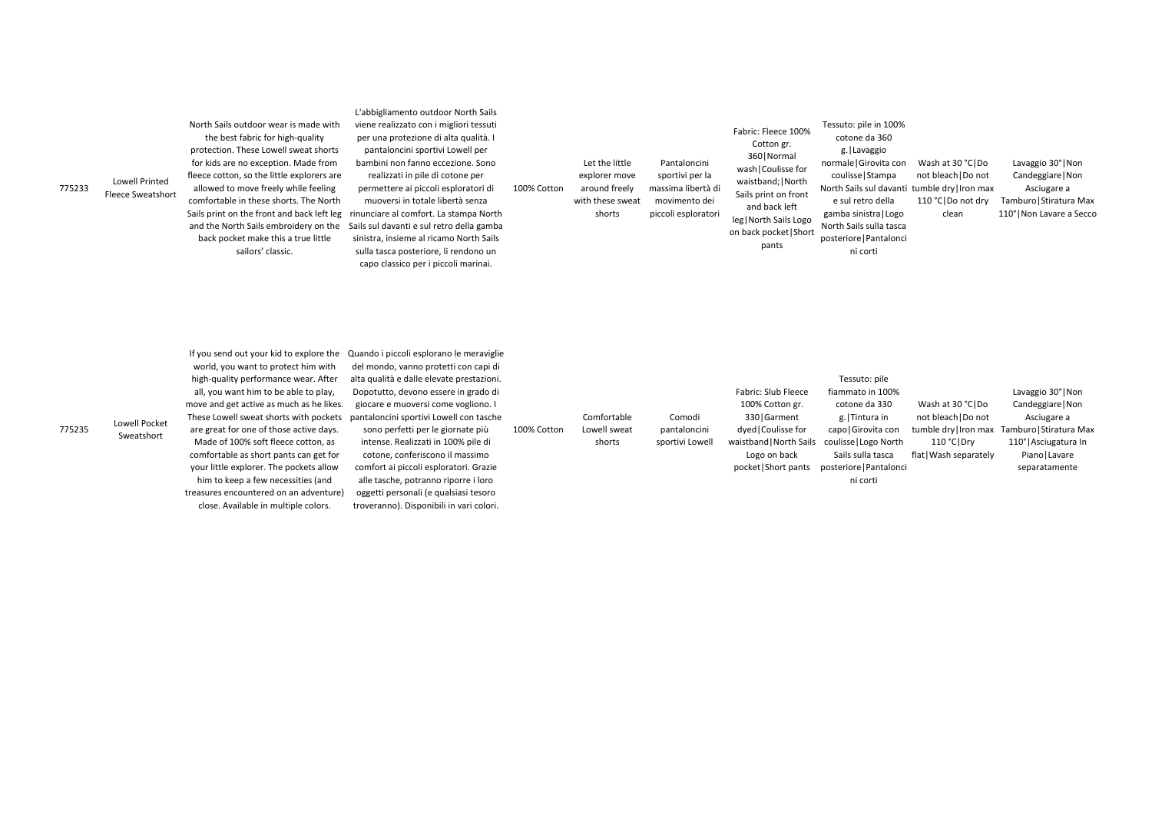Lavaggio 30°|Non Candeggiare|Non Asciugare a Tamburo|Stiratura Max 110°|Non Lavare a Secco

| 775233 | <b>Lowell Printed</b><br><b>Fleece Sweatshort</b> | North Sails outdoor wear is made with<br>the best fabric for high-quality<br>protection. These Lowell sweat shorts<br>for kids are no exception. Made from<br>fleece cotton, so the little explorers are<br>allowed to move freely while feeling<br>comfortable in these shorts. The North<br>Sails print on the front and back left leg<br>and the North Sails embroidery on the<br>back pocket make this a true little<br>sailors' classic. | L'abbigliamento outdoor North Sails<br>viene realizzato con i migliori tessuti<br>per una protezione di alta qualità. I<br>pantaloncini sportivi Lowell per<br>bambini non fanno eccezione. Sono<br>realizzati in pile di cotone per<br>permettere ai piccoli esploratori di<br>muoversi in totale libertà senza<br>rinunciare al comfort. La stampa North<br>Sails sul davanti e sul retro della gamba<br>sinistra, insieme al ricamo North Sails<br>sulla tasca posteriore, li rendono un<br>capo classico per i piccoli marinai. | 100% Cotton | Let the little<br>explorer move<br>around freely<br>with these sweat<br>shorts | Pantaloncini<br>sportivi per la<br>massima libertà di<br>movimento dei<br>piccoli esploratori | Fabric: Fleece 100%<br>Cotton gr.<br>360   Normal<br>wash   Coulisse for<br>waistband;   North<br>Sails print on front<br>and back left<br>leg   North Sails Logo<br>on back pocket Short<br>pants | Tessuto: pile<br>cotone d<br>g.   Lava<br>normale   Gir<br>coulisse   S<br>North Sails su<br>e sul retro<br>gamba sinist<br>North Sails s<br>posteriore   P<br>ni cor |
|--------|---------------------------------------------------|-----------------------------------------------------------------------------------------------------------------------------------------------------------------------------------------------------------------------------------------------------------------------------------------------------------------------------------------------------------------------------------------------------------------------------------------------|-------------------------------------------------------------------------------------------------------------------------------------------------------------------------------------------------------------------------------------------------------------------------------------------------------------------------------------------------------------------------------------------------------------------------------------------------------------------------------------------------------------------------------------|-------------|--------------------------------------------------------------------------------|-----------------------------------------------------------------------------------------------|----------------------------------------------------------------------------------------------------------------------------------------------------------------------------------------------------|-----------------------------------------------------------------------------------------------------------------------------------------------------------------------|
|--------|---------------------------------------------------|-----------------------------------------------------------------------------------------------------------------------------------------------------------------------------------------------------------------------------------------------------------------------------------------------------------------------------------------------------------------------------------------------------------------------------------------------|-------------------------------------------------------------------------------------------------------------------------------------------------------------------------------------------------------------------------------------------------------------------------------------------------------------------------------------------------------------------------------------------------------------------------------------------------------------------------------------------------------------------------------------|-------------|--------------------------------------------------------------------------------|-----------------------------------------------------------------------------------------------|----------------------------------------------------------------------------------------------------------------------------------------------------------------------------------------------------|-----------------------------------------------------------------------------------------------------------------------------------------------------------------------|

 $\sin 100\%$ la 360 ggio ovita con stampa North Sails sul davanti tumble dry|Iron max o della tra | Logo ulla tasca Pantalonci rti Wash at 30 °C|Do not bleach|Do not 110 °C | Do not dry clean

775235 Lowell Pocket Sweatshort If you send out your kid to explore the Quando i piccoli esplorano le meraviglie world, you want to protect him with high-quality performance wear. After all, you want him to be able to play, move and get active as much as he likes. These Lowell sweat shorts with pockets are great for one of those active days. Made of 100% soft fleece cotton, as comfortable as short pants can get for your little explorer. The pockets allow him to keep a few necessities (and treasures encountered on an adventure) close. Available in multiple colors. del mondo, vanno protetti con capi di alta qualità e dalle elevate prestazioni. Dopotutto, devono essere in grado di giocare e muoversi come vogliono. I pantaloncini sportivi Lowell con tasche sono perfetti per le giornate più intense. Realizzati in 100% pile di cotone, conferiscono il massimo comfort ai piccoli esploratori. Grazie alle tasche, potranno riporre i loro oggetti personali (e qualsiasi tesoro troveranno). Disponibili in vari colori. 100% Cotton Comfortable Lowell sweat shorts Comodi pantaloncini sportivi Lowell Fabric: Slub Fleece 100% Cotton gr. 330|Garment dyed|Coulisse for waistband|North Sails Logo on back pocket|Short pants

Tessuto: pile fiammato in 100% cotone da 330 g.|Tintura in capo|Girovita con coulisse|Logo North Sails sulla tasca posteriore|Pantalonci ni corti Wash at 30 °C|Do not bleach|Do not 110 °C|Dry flat|Wash separately

tumble dry|Iron max Tamburo|Stiratura Max Lavaggio 30°|Non Candeggiare|Non Asciugare a 110°|Asciugatura In Piano|Lavare separatamente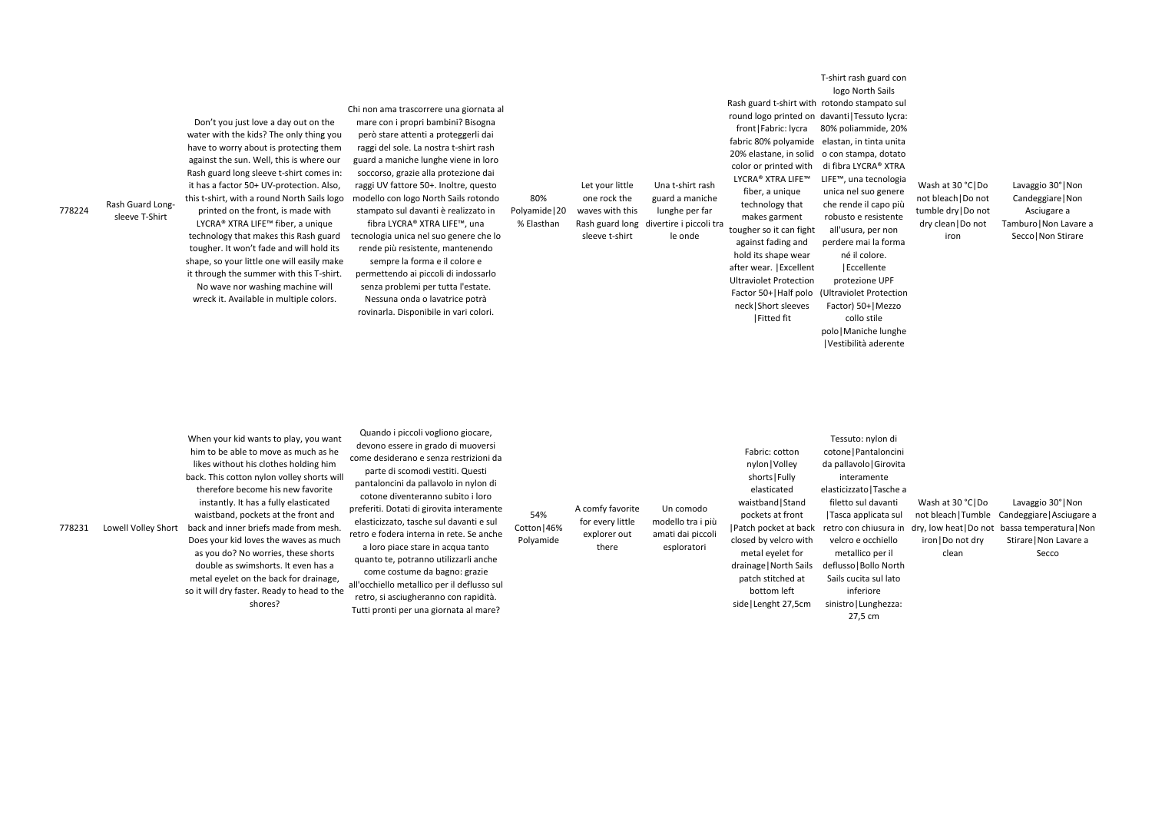778224

sleeve T-Shirt

## Rash Guard Long-Don't you just love a day out on the water with the kids? The only thing you have to worry about is protecting them against the sun. Well, this is where our Rash guard long sleeve t-shirt comes in: it has a factor 50+ UV-protection. Also, this t-shirt, with a round North Sails logo

printed on the front, is made with LYCRA® XTRA LIFE™ fiber, a unique technology that makes this Rash guard tougher. It won't fade and will hold its shape, so your little one will easily make it through the summer with this T-shirt. No wave nor washing machine will wreck it. Available in multiple colors.

## Chi non ama trascorrere una giornata al

mare con i propri bambini? Bisogna però stare attenti a proteggerli dai raggi del sole. La nostra t-shirt rash guard a maniche lunghe viene in loro soccorso, grazie alla protezione dai raggi UV fattore 50+. Inoltre, questo modello con logo North Sails rotondo stampato sul davanti è realizzato in fibra LYCRA® XTRA LIFE™, una tecnologia unica nel suo genere che lo rende più resistente, mantenendo sempre la forma e il colore e permettendo ai piccoli di indossarlo senza problemi per tutta l'estate. Nessuna onda o lavatrice potrà rovinarla. Disponibile in vari colori.

Lavaggio 30°|Non Candeggiare|Non Asciugare a Tamburo|Non Lavare a Secco|Non Stirare

essuto: nylon di one | Pantaloncini pallavolo | Girovita interamente ticizzato | Tasche a letto sul davanti asca applicata sul ro con chiusura in elcro e occhiello metallico per il lusso | Bollo North ils cucita sul lato inferiore istro | Lunghezza:

80% Polyamide|20 % Elasthan

| 778231 | Lowell Volley Short | When your kid wants to play, you want<br>him to be able to move as much as he<br>likes without his clothes holding him<br>back. This cotton nylon volley shorts will<br>therefore become his new favorite<br>instantly. It has a fully elasticated<br>waistband, pockets at the front and<br>back and inner briefs made from mesh.<br>Does your kid loves the waves as much<br>as you do? No worries, these shorts<br>double as swimshorts. It even has a<br>metal eyelet on the back for drainage,<br>so it will dry faster. Ready to head to the<br>shores? | Quando i piccoli vogliono giocare,<br>devono essere in grado di muoversi<br>come desiderano e senza restrizioni da<br>parte di scomodi vestiti. Questi<br>pantaloncini da pallavolo in nylon di<br>cotone diventeranno subito i loro<br>preferiti. Dotati di girovita interamente<br>elasticizzato, tasche sul davanti e sul<br>retro e fodera interna in rete. Se anche<br>a loro piace stare in acqua tanto<br>quanto te, potranno utilizzarli anche<br>come costume da bagno: grazie<br>all'occhiello metallico per il deflusso sul<br>retro, si asciugheranno con rapidità.<br>Tutti pronti per una giornata al mare? | 54%<br>Cotton   46%<br>Polyamide | A comfy favorite<br>for every little<br>explorer out<br>there | Un comodo<br>modello tra i più<br>amati dai piccoli<br>esploratori | Fabric: cotton<br>nylon   Volley<br>shorts   Fully<br>elasticated<br>waistband   Stand<br>pockets at front<br>Patch pocket at back<br>closed by velcro with<br>metal eyelet for<br>drainage   North Sails<br>patch stitched at<br>bottom left<br>side   Lenght 27,5cm | Tε<br>coto<br>da p<br>elast<br>fil<br> Ta<br>retr<br>ve<br>defl<br>Sai<br>sini |
|--------|---------------------|---------------------------------------------------------------------------------------------------------------------------------------------------------------------------------------------------------------------------------------------------------------------------------------------------------------------------------------------------------------------------------------------------------------------------------------------------------------------------------------------------------------------------------------------------------------|---------------------------------------------------------------------------------------------------------------------------------------------------------------------------------------------------------------------------------------------------------------------------------------------------------------------------------------------------------------------------------------------------------------------------------------------------------------------------------------------------------------------------------------------------------------------------------------------------------------------------|----------------------------------|---------------------------------------------------------------|--------------------------------------------------------------------|-----------------------------------------------------------------------------------------------------------------------------------------------------------------------------------------------------------------------------------------------------------------------|--------------------------------------------------------------------------------|
|--------|---------------------|---------------------------------------------------------------------------------------------------------------------------------------------------------------------------------------------------------------------------------------------------------------------------------------------------------------------------------------------------------------------------------------------------------------------------------------------------------------------------------------------------------------------------------------------------------------|---------------------------------------------------------------------------------------------------------------------------------------------------------------------------------------------------------------------------------------------------------------------------------------------------------------------------------------------------------------------------------------------------------------------------------------------------------------------------------------------------------------------------------------------------------------------------------------------------------------------------|----------------------------------|---------------------------------------------------------------|--------------------------------------------------------------------|-----------------------------------------------------------------------------------------------------------------------------------------------------------------------------------------------------------------------------------------------------------------------|--------------------------------------------------------------------------------|

one rock the waves with this sleeve t-shirt

Let your little Rash guard long divertire i piccoli tra Una t-shirt rash guard a maniche lunghe per far le onde

front|Fabric: lycra 80% poliammide, 20% fabric 80% polyamide elastan, in tinta unita 20% elastane, in solid o con stampa, dotato color or printed with LYCRA® XTRA LIFE™ fiber, a unique technology that makes garment tougher so it can fight against fading and

Rash guard t-shirt with rotondo stampato sul round logo printed on davanti|Tessuto lycra: T-shirt rash guard con logo North Sails di fibra LYCRA® XTRA LIFE™, una tecnologia

hold its shape wear after wear. |Excellent Ultraviolet Protection Factor 50+|Half polo neck|Short sleeves |Fitted fit

unica nel suo genere che rende il capo più robusto e resistente all'usura, per non perdere mai la forma né il colore. |Eccellente protezione UPF (Ultraviolet Protection Factor) 50+|Mezzo

collo stile polo|Maniche lunghe |Vestibilità aderente

Wash at 30 °C|Do not bleach|Do not tumble dry|Do not dry clean|Do not iron

27,5 cm

Wash at 30 °C|Do iron|Do not dry clean

not bleach|Tumble Candeggiare|Asciugare a dry, low heat|Do not bassa temperatura|Non Lavaggio 30°|Non Stirare|Non Lavare a Secco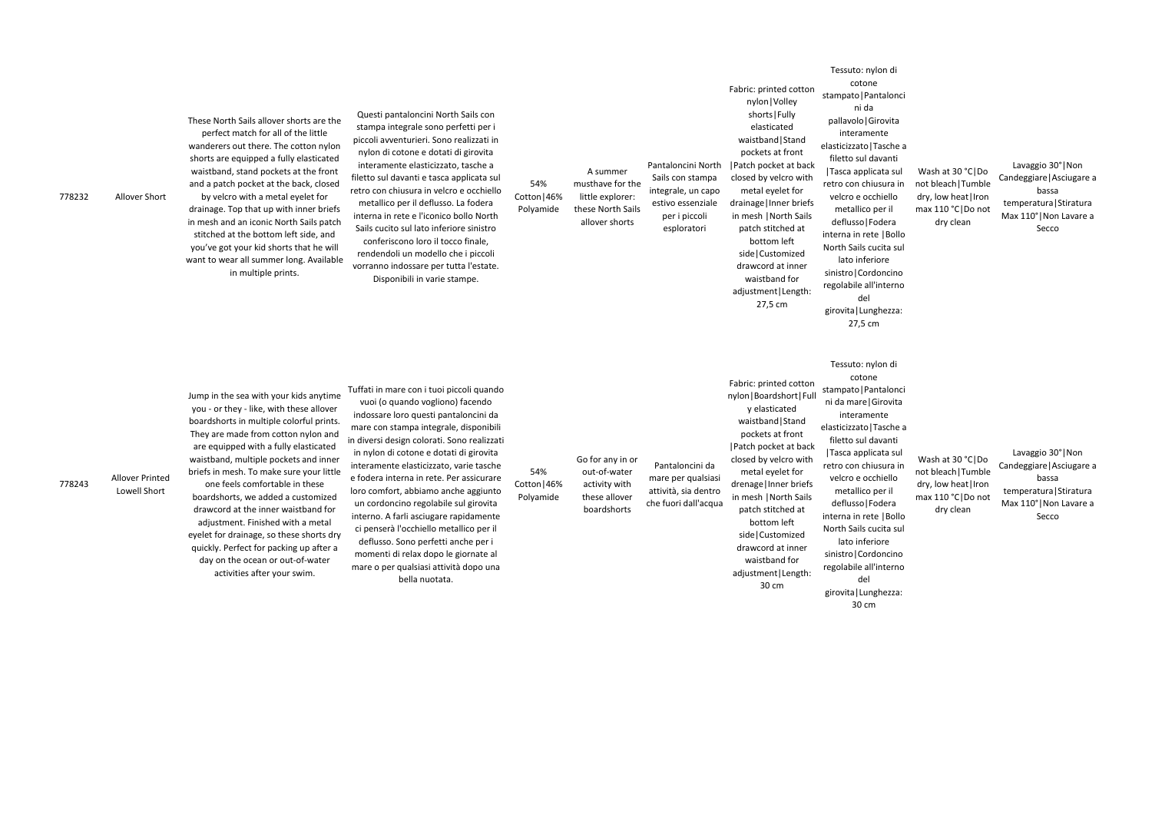778243

Lowell Short

one feels comfortable in these boardshorts, we added a customized drawcord at the inner waistband for adjustment. Finished with a metal eyelet for drainage, so these shorts dry quickly. Perfect for packing up after a day on the ocean or out-of-water

activities after your swim.

| 778232 | Allover Short   | These North Sails allover shorts are the<br>perfect match for all of the little<br>wanderers out there. The cotton nylon<br>shorts are equipped a fully elasticated<br>waistband, stand pockets at the front<br>and a patch pocket at the back, closed<br>by velcro with a metal eyelet for<br>drainage. Top that up with inner briefs<br>in mesh and an iconic North Sails patch<br>stitched at the bottom left side, and<br>you've got your kid shorts that he will<br>want to wear all summer long. Available<br>in multiple prints. | Questi pantaloncini North Sails con<br>stampa integrale sono perfetti per i<br>piccoli avventurieri. Sono realizzati in<br>nylon di cotone e dotati di girovita<br>interamente elasticizzato, tasche a<br>filetto sul davanti e tasca applicata sul<br>retro con chiusura in velcro e occhiello<br>metallico per il deflusso. La fodera<br>interna in rete e l'iconico bollo North<br>Sails cucito sul lato inferiore sinistro<br>conferiscono loro il tocco finale,<br>rendendoli un modello che i piccoli<br>vorranno indossare per tutta l'estate.<br>Disponibili in varie stampe. | 54%<br>Cotton   46%<br>Polyamide | A summer<br>musthave for the<br>little explorer:<br>these North Sails<br>allover shorts | Pantaloncini North<br>Sails con stampa<br>integrale, un capo<br>estivo essenziale<br>per i piccoli<br>esploratori | Fabric: printed cotton<br>nylon   Volley<br>shorts   Fully<br>elasticated<br>waistband   Stand<br>pockets at front<br>  Patch pocket at back<br>closed by velcro with<br>metal eyelet for<br>drainage   Inner briefs<br>in mesh   North Sails<br>patch stitched at<br>bottom left<br>side   Customized<br>drawcord at inner<br>waistband for<br>adjustment   Length:<br>27,5 cm | u<br>stampato<br>pallavol<br>inter<br>elasticizza<br>filetto s<br> Tasca a<br>retro cor<br>velcro<br>metal<br>defluss<br>interna ir<br>North Sa<br>lato i<br>sinistro<br>regolabil<br>girovita<br>27 |
|--------|-----------------|-----------------------------------------------------------------------------------------------------------------------------------------------------------------------------------------------------------------------------------------------------------------------------------------------------------------------------------------------------------------------------------------------------------------------------------------------------------------------------------------------------------------------------------------|---------------------------------------------------------------------------------------------------------------------------------------------------------------------------------------------------------------------------------------------------------------------------------------------------------------------------------------------------------------------------------------------------------------------------------------------------------------------------------------------------------------------------------------------------------------------------------------|----------------------------------|-----------------------------------------------------------------------------------------|-------------------------------------------------------------------------------------------------------------------|---------------------------------------------------------------------------------------------------------------------------------------------------------------------------------------------------------------------------------------------------------------------------------------------------------------------------------------------------------------------------------|------------------------------------------------------------------------------------------------------------------------------------------------------------------------------------------------------|
| 778243 | Allover Printed | Jump in the sea with your kids anytime<br>you - or they - like, with these allover<br>boardshorts in multiple colorful prints.<br>They are made from cotton nylon and<br>are equipped with a fully elasticated<br>waistband, multiple pockets and inner<br>briefs in mesh. To make sure your little<br>one feels comfortable in these                                                                                                                                                                                                   | Tuffati in mare con i tuoi piccoli quando<br>vuoi (o quando vogliono) facendo<br>indossare loro questi pantaloncini da<br>mare con stampa integrale, disponibili<br>in diversi design colorati. Sono realizzati<br>in nylon di cotone e dotati di girovita<br>interamente elasticizzato, varie tasche<br>e fodera interna in rete. Per assicurare                                                                                                                                                                                                                                     | 54%<br>Cotton   46%              | Go for any in or<br>out-of-water<br>activity with                                       | Pantaloncini da<br>mare per qualsiasi                                                                             | Fabric: printed cotton<br>nylon   Boardshort   Full<br>y elasticated<br>waistband   Stand<br>pockets at front<br>  Patch pocket at back<br>closed by velcro with<br>metal eyelet for<br>drenage   Inner briefs                                                                                                                                                                  | Tessut<br>CC<br>stampato<br>ni da ma<br>inter<br>elasticizza<br>filetto s<br> Tasca a<br>retro cor<br>velcro                                                                                         |

loro comfort, abbiamo anche aggiunto un cordoncino regolabile sul girovita interno. A farli asciugare rapidamente ci penserà l'occhiello metallico per il deflusso. Sono perfetti anche per i momenti di relax dopo le giornate al mare o per qualsiasi attività dopo una bella nuotata.

Cotton|46% Polyamide activity with these allover

boardshorts

attività, sia dentro che fuori dall'acqua

Lavaggio 30°|Non Candeggiare|Asciugare a bassa temperatura|Stiratura Max 110°|Non Lavare a Secco Tessuto: nylon di cotone o | Pantalonci ni da lo | Girovita ramente ato|Tasche a sul davanti applicata sul chiusura in e occhiello lico per il so|Fodera in rete |Bollo ails cucita sul inferiore Cordoncino ile all'interno del | Lunghezza: 27,5 cm Wash at 30 °C|Do not bleach|Tumble dry, low heat|Iron max 110 °C|Do not dry clean o: nylon di otone o | Pantalonci are | Girovita ramente ato|Tasche a sul davanti applicata sul chiusura in e occhiello regolabile all'interno girovita|Lunghezza: 30 cm Wash at 30 °C|Do not bleach|Tumble dry, low heat | Iron max 110 °C|Do not dry clean Lavaggio 30°|Non Candeggiare|Asciugare a bassa temperatura|Stiratura Max 110°|Non Lavare a Secco

in mesh |North Sails patch stitched at bottom left side|Customized

waistband for

30 cm

drawcord at inner adjustment|Length: sinistro|Cordoncino del

metallico per il deflusso|Fodera interna in rete |Bollo North Sails cucita sul lato inferiore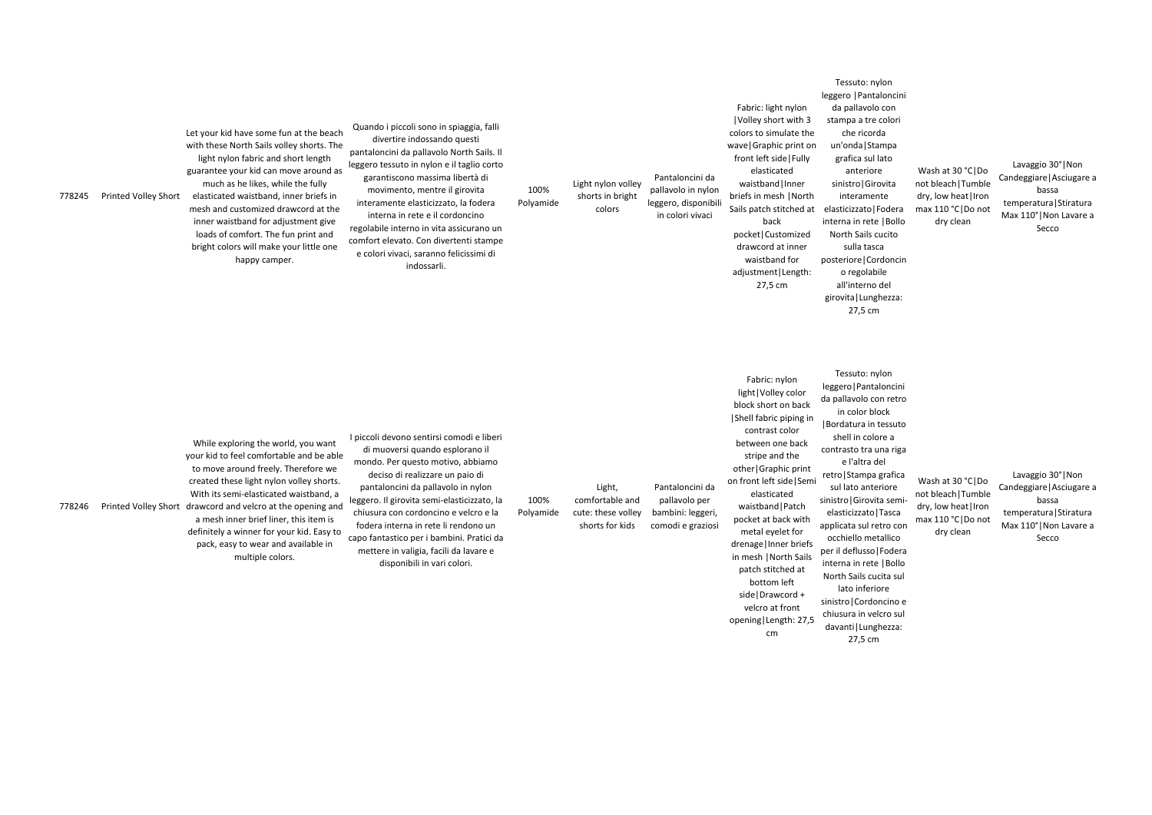Lavaggio 30°|Non Candeggiare|Asciugare a bassa temperatura|Stiratura Max 110°|Non Lavare a Secco

ıylon aloncini on retro lock l tessuto lore a una riga del a grafica eriore ita semi-Tasca| etro con etallico p | Fodera ie |Bollo ucita sul iore

| 778245 | Printed Volley Short | Let your kid have some fun at the beach<br>with these North Sails volley shorts. The<br>light nylon fabric and short length<br>guarantee your kid can move around as<br>much as he likes, while the fully<br>elasticated waistband, inner briefs in<br>mesh and customized drawcord at the<br>inner waistband for adjustment give<br>loads of comfort. The fun print and<br>bright colors will make your little one<br>happy camper. | Quando i piccoli sono in spiaggia, falli<br>divertire indossando questi<br>pantaloncini da pallavolo North Sails. Il<br>leggero tessuto in nylon e il taglio corto<br>garantiscono massima libertà di<br>movimento, mentre il girovita<br>interamente elasticizzato, la fodera<br>interna in rete e il cordoncino<br>regolabile interno in vita assicurano un<br>comfort elevato. Con divertenti stampe<br>e colori vivaci, saranno felicissimi di<br>indossarli. | 100%<br>Polyamide | Light nylon volley<br>shorts in bright<br>colors                   | Pantaloncini da<br>pallavolo in nylon<br>leggero, disponibili<br>in colori vivaci | Fabric: light nylon<br> Volley short with 3<br>colors to simulate the<br>wave   Graphic print on<br>front left side   Fully<br>elasticated<br>waistband   Inner<br>briefs in mesh   North<br>Sails patch stitched at<br>back<br>pocket   Customized<br>drawcord at inner<br>waistband for<br>adjustment   Length:<br>27,5 cm                                                                                     | <b>ICSSCIU</b>  I antaioncin<br>da pallavolo con<br>stampa a tre colori<br>che ricorda<br>un'onda   Stampa<br>grafica sul lato<br>anteriore<br>sinistro Girovita<br>interamente<br>elasticizzato   Fodera<br>interna in rete   Bollo<br>North Sails cucito<br>sulla tasca<br>posteriore   Cordoncii<br>o regolabile<br>all'interno del<br>girovita   Lunghezza:<br>27,5 cm                                                                                   |
|--------|----------------------|--------------------------------------------------------------------------------------------------------------------------------------------------------------------------------------------------------------------------------------------------------------------------------------------------------------------------------------------------------------------------------------------------------------------------------------|-------------------------------------------------------------------------------------------------------------------------------------------------------------------------------------------------------------------------------------------------------------------------------------------------------------------------------------------------------------------------------------------------------------------------------------------------------------------|-------------------|--------------------------------------------------------------------|-----------------------------------------------------------------------------------|------------------------------------------------------------------------------------------------------------------------------------------------------------------------------------------------------------------------------------------------------------------------------------------------------------------------------------------------------------------------------------------------------------------|--------------------------------------------------------------------------------------------------------------------------------------------------------------------------------------------------------------------------------------------------------------------------------------------------------------------------------------------------------------------------------------------------------------------------------------------------------------|
| 778246 |                      | While exploring the world, you want<br>your kid to feel comfortable and be able<br>to move around freely. Therefore we<br>created these light nylon volley shorts.<br>With its semi-elasticated waistband, a<br>Printed Volley Short drawcord and velcro at the opening and<br>a mesh inner brief liner, this item is<br>definitely a winner for your kid. Easy to<br>pack, easy to wear and available in<br>multiple colors.        | I piccoli devono sentirsi comodi e liberi<br>di muoversi quando esplorano il<br>mondo. Per questo motivo, abbiamo<br>deciso di realizzare un paio di<br>pantaloncini da pallavolo in nylon<br>leggero. Il girovita semi-elasticizzato, la<br>chiusura con cordoncino e velcro e la<br>fodera interna in rete li rendono un<br>capo fantastico per i bambini. Pratici da<br>mettere in valigia, facili da lavare e<br>disponibili in vari colori.                  | 100%<br>Polyamide | Light,<br>comfortable and<br>cute: these volley<br>shorts for kids | Pantaloncini da<br>pallavolo per<br>bambini: leggeri,<br>comodi e graziosi        | Fabric: nylon<br>light   Volley color<br>block short on back<br>Shell fabric piping in<br>contrast color<br>between one back<br>stripe and the<br>other Graphic print<br>on front left side   Semi<br>elasticated<br>waistband   Patch<br>pocket at back with<br>metal eyelet for<br>drenage   Inner briefs<br>in mesh   North Sails<br>patch stitched at<br>bottom left<br>side   Drawcord +<br>velcro at front | Tessuto: nylon<br>leggero   Pantaloncin<br>da pallavolo con retro<br>in color block<br>Bordatura in tessuto<br>shell in colore a<br>contrasto tra una riga<br>e l'altra del<br>retro   Stampa grafica<br>sul lato anteriore<br>sinistro   Girovita semi<br>elasticizzato   Tasca<br>applicata sul retro co<br>occhiello metallico<br>per il deflusso   Foder<br>interna in rete   Bollo<br>North Sails cucita sul<br>lato inferiore<br>sinistro   Cordoncino |

Tessuto: nylon leggero |Pantaloncini o con e colori rda ampa: l lato re rovita ente |Fodera ie |Bollo cucito  $sca$ prdoncin bile del Wash at 30 °C|Do not bleach|Tumble dry, low heat|Iron max 110 °C|Do not dry clean

opening|Length: 27,5

cm

sinistro|Cordoncino e chiusura in velcro sul davanti|Lunghezza: 27,5 cm

Wash at 30 °C|Do not bleach|Tumble dry, low heat|Iron max 110 °C|Do not dry clean

Lavaggio 30°|Non Candeggiare|Asciugare a bassa temperatura|Stiratura Max 110°|Non Lavare a Secco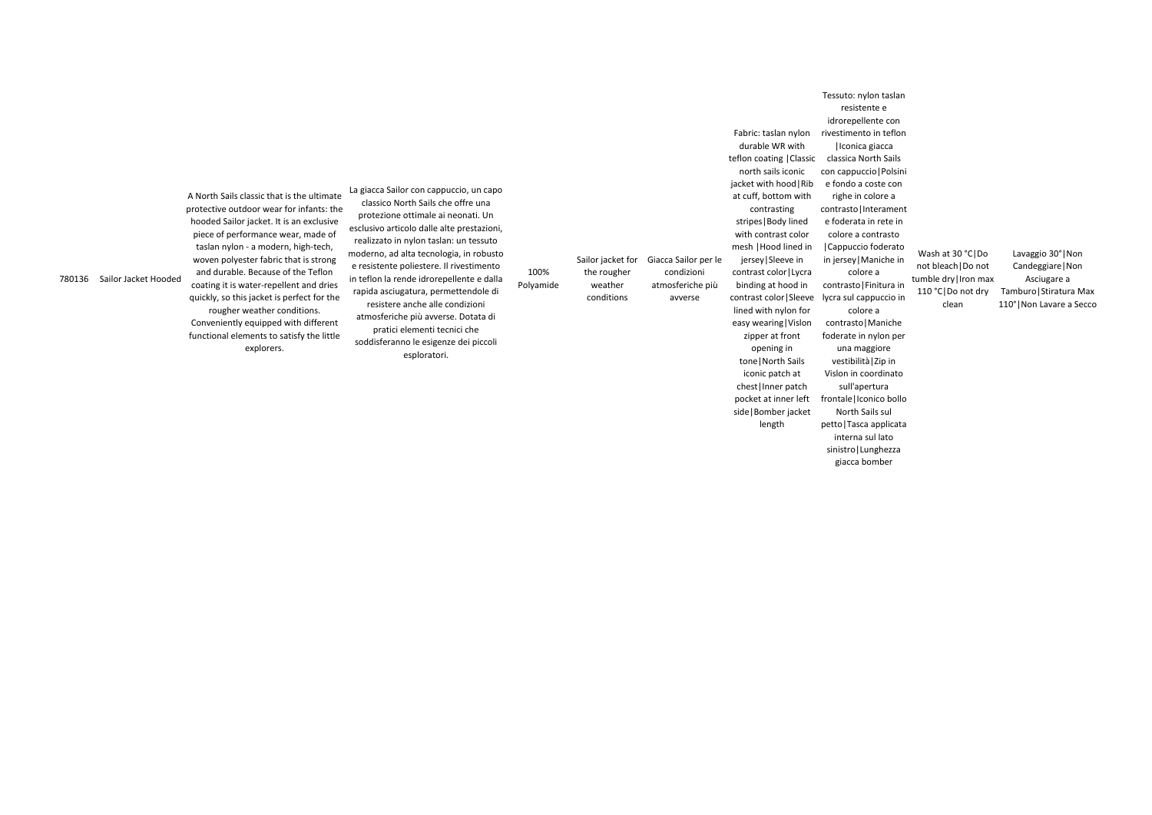780136 Sailor Jacket Hooded

A North Sails classic that is the ultimate protective outdoor wear for infants: the hooded Sailor jacket. It is an exclusive piece of performance wear, made of taslan nylon - a modern, high-tech, woven polyester fabric that is strong and durable. Because of the Teflon coating it is water-repellent and dries quickly, so this jacket is perfect for the rougher weather conditions. Conveniently equipped with different functional elements to satisfy the little explorers.

La giacca Sailor con cappuccio, un capo classico North Sails che offre una protezione ottimale ai neonati. Un esclusivo articolo dalle alte prestazioni, realizzato in nylon taslan: un tessuto moderno, ad alta tecnologia, in robusto e resistente poliestere. Il rivestimento in teflon la rende idrorepellente e dalla rapida asciugatura, permettendole di resistere anche alle condizioni atmosferiche più avverse. Dotata di pratici elementi tecnici che soddisferanno le esigenze dei piccoli esploratori.

100%

Polyamide

Sailor jacket for Giacca Sailor per le the rougher weather conditions condizioni atmosferiche più avverse

Fabric: taslan nylon durable WR with

teflon coating |Classic north sails iconic jacket with hood|Rib at cuff, bottom with contrasting

> stripes|Body lined with contrast color

mesh |Hood lined in jersey|Sleeve in contrast color|Lycra binding at hood in lined with nylon for easy wearing|Vislon zipper at front opening in

tone|North Sails iconic patch at chest|Inner patch pocket at inner left side|Bomber jacket length

Lavaggio 30°|Non Candeggiare|Non Asciugare a Tamburo|Stiratura Max 110°|Non Lavare a Secco contrast color|Sleeve lycra sul cappuccio in Tessuto: nylon taslan resistente e idrorepellente con rivestimento in teflon |Iconica giacca classica North Sails con cappuccio|Polsini e fondo a coste con righe in colore a contrasto|Interament e foderata in rete in colore a contrasto |Cappuccio foderato in jersey|Maniche in colore a contrasto|Finitura in colore a contrasto|Maniche foderate in nylon per una maggiore vestibilità|Zip in Vislon in coordinato sull'apertura frontale|Iconico bollo North Sails sul petto|Tasca applicata interna sul lato sinistro|Lunghezza Wash at 30 °C|Do not bleach|Do not tumble dry|Iron max 110 °C|Do not dry clean

giacca bomber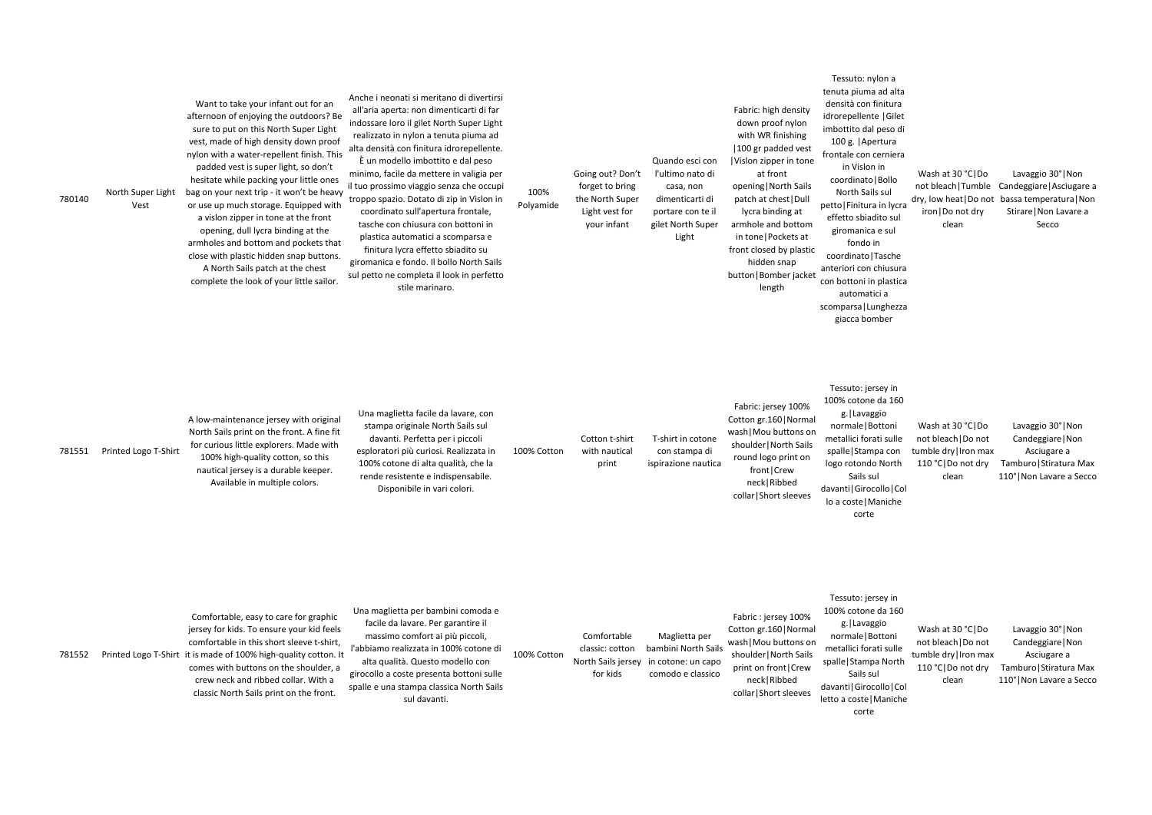$a$ alta ura 5ilet o di ra iera llo lycra sul ul  $the$ isura stica lezza Wash at 30 °C|Do not bleach|Tumble Candeggiare|Asciugare a dry, low heat|Do not bassa temperatura|Non iron|Do not dry clean Lavaggio 30°|Non Stirare|Non Lavare a Secco

| 780140 | North Super Light<br>Vest | Want to take your infant out for an<br>afternoon of enjoying the outdoors? Be<br>sure to put on this North Super Light<br>vest, made of high density down proof<br>nylon with a water-repellent finish. This<br>padded vest is super light, so don't<br>hesitate while packing your little ones<br>bag on your next trip - it won't be heavy<br>or use up much storage. Equipped with<br>a vislon zipper in tone at the front<br>opening, dull lycra binding at the<br>armholes and bottom and pockets that<br>close with plastic hidden snap buttons.<br>A North Sails patch at the chest<br>complete the look of your little sailor. | Anche i neonati si meritano di divertirsi<br>all'aria aperta: non dimenticarti di far<br>indossare loro il gilet North Super Light<br>realizzato in nylon a tenuta piuma ad<br>alta densità con finitura idrorepellente.<br>È un modello imbottito e dal peso<br>minimo, facile da mettere in valigia per<br>il tuo prossimo viaggio senza che occupi<br>troppo spazio. Dotato di zip in Vislon in<br>coordinato sull'apertura frontale,<br>tasche con chiusura con bottoni in<br>plastica automatici a scomparsa e<br>finitura lycra effetto sbiadito su<br>giromanica e fondo. Il bollo North Sails<br>sul petto ne completa il look in perfetto<br>stile marinaro. | 100%<br>Polyamide | Going out? Don't<br>forget to bring<br>the North Super<br>Light vest for<br>your infant | Quando esci con<br>l'ultimo nato di<br>casa, non<br>dimenticarti di<br>portare con te il<br>gilet North Super<br>Light | Fabric: high density<br>down proof nylon<br>with WR finishing<br>100 gr padded vest<br>Vislon zipper in tone<br>at front<br>opening   North Sails<br>patch at chest   Dull<br>lycra binding at<br>armhole and bottom<br>in tone   Pockets at<br>front closed by plastic<br>hidden snap<br>button   Bomber jacket<br>length | Tessuto: nylon a<br>tenuta piuma ad a<br>densità con finitu<br>idrorepellente   Gi<br>imbottito dal peso<br>100 g.   Apertura<br>frontale con cerni<br>in Vislon in<br>coordinato   Boll<br>North Sails sul<br>petto   Finitura in Iy<br>effetto sbiadito s<br>giromanica e su<br>fondo in<br>coordinato   Tasch<br>anteriori con chius<br>con bottoni in plas<br>automatici a<br>scomparsa   Lunghe<br>giacca bomber |
|--------|---------------------------|----------------------------------------------------------------------------------------------------------------------------------------------------------------------------------------------------------------------------------------------------------------------------------------------------------------------------------------------------------------------------------------------------------------------------------------------------------------------------------------------------------------------------------------------------------------------------------------------------------------------------------------|-----------------------------------------------------------------------------------------------------------------------------------------------------------------------------------------------------------------------------------------------------------------------------------------------------------------------------------------------------------------------------------------------------------------------------------------------------------------------------------------------------------------------------------------------------------------------------------------------------------------------------------------------------------------------|-------------------|-----------------------------------------------------------------------------------------|------------------------------------------------------------------------------------------------------------------------|----------------------------------------------------------------------------------------------------------------------------------------------------------------------------------------------------------------------------------------------------------------------------------------------------------------------------|-----------------------------------------------------------------------------------------------------------------------------------------------------------------------------------------------------------------------------------------------------------------------------------------------------------------------------------------------------------------------------------------------------------------------|
|        |                           | A low-maintenance jersey with original<br>North Sails print on the front. A fine fit<br>for curious little explorers. Made with                                                                                                                                                                                                                                                                                                                                                                                                                                                                                                        | Una maglietta facile da lavare, con<br>stampa originale North Sails sul<br>davanti. Perfetta per i piccoli                                                                                                                                                                                                                                                                                                                                                                                                                                                                                                                                                            |                   | Cotton t-shirt                                                                          | T-shirt in cotone                                                                                                      | Fabric: jersey 100%<br>Cotton gr.160   Normal<br>wash   Mou buttons on<br>shoulder   North Sails                                                                                                                                                                                                                           | Tessuto: jersey i<br>100% cotone da 1<br>g. Lavaggio<br>normale   Bottor<br>metallici forati su                                                                                                                                                                                                                                                                                                                       |

in 160 ni ulle spalle|Stampa con logo rotondo North Sails sul davanti|Girocollo|Col lo a coste|Maniche corte

781551 Printed Logo T-Shirt

100% high-quality cotton, so this nautical jersey is a durable keeper. Available in multiple colors.

esploratori più curiosi. Realizzata in 100% cotone di alta qualità, che la rende resistente e indispensabile. Disponibile in vari colori.

Lavaggio 30°|Non Candeggiare|Non Asciugare a 110 °C|Do not dry Tamburo|Stiratura Max 110°|Non Lavare a Secco

100% Cotton

with nautical print

con stampa di ispirazione nautica

round logo print on front|Crew neck|Ribbed collar|Short sleeves

Wash at 30 °C|Do not bleach|Do not tumble dry|Iron max clean

Tessuto: jersey in 100% cotone da 160 g.|Lavaggio normale|Bottoni metallici forati sulle spalle|Stampa North Sails sul davanti|Girocollo|Col letto a coste|Maniche corte Wash at 30 °C|Do not bleach|Do not tumble dry|Iron max clean

110 °C|Do not dry Tamburo|Stiratura Max Lavaggio 30°|Non Candeggiare|Non Asciugare a 110°|Non Lavare a Secco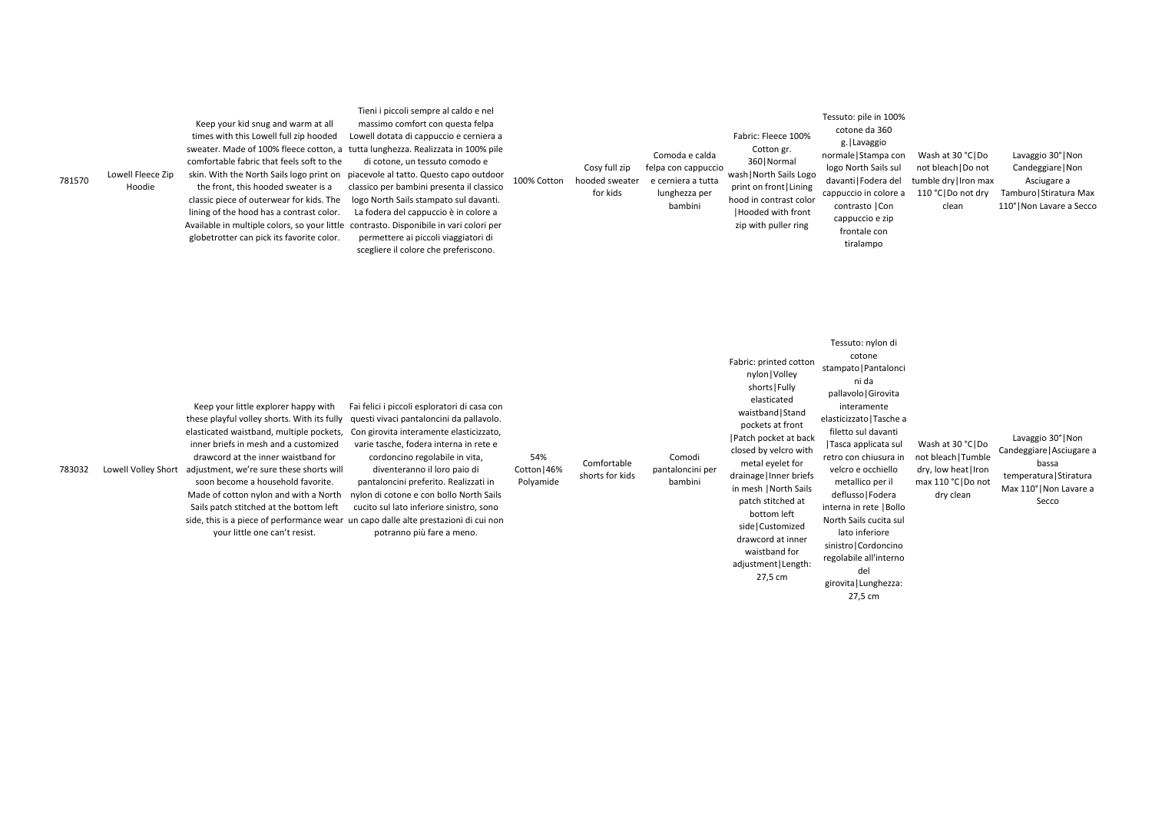Lavaggio 30°|Non Candeggiare|Non Asciugare a 110 °C | Do not dry Tamburo | Stiratura Max 110°|Non Lavare a Secco

| 781570 | Lowell Fleece Zip<br>Hoodie | Keep your kid snug and warm at all<br>times with this Lowell full zip hooded<br>sweater. Made of 100% fleece cotton, a<br>comfortable fabric that feels soft to the<br>skin. With the North Sails logo print on<br>the front, this hooded sweater is a<br>classic piece of outerwear for kids. The<br>lining of the hood has a contrast color.<br>Available in multiple colors, so your little<br>globetrotter can pick its favorite color. | Tieni i piccoli sempre al caldo e nel<br>massimo comfort con questa felpa<br>Lowell dotata di cappuccio e cerniera a<br>tutta lunghezza. Realizzata in 100% pile<br>di cotone, un tessuto comodo e<br>piacevole al tatto. Questo capo outdoor<br>classico per bambini presenta il classico<br>logo North Sails stampato sul davanti.<br>La fodera del cappuccio è in colore a<br>contrasto. Disponibile in vari colori per<br>permettere ai piccoli viaggiatori di<br>scegliere il colore che preferiscono. | 100% Cotton | Cosy full zip<br>hooded sweater<br>for kids | Comoda e calda<br>felpa con cappuccio<br>e cerniera a tutta<br>lunghezza per<br>bambini | Fabric: Fleece 100%<br>Cotton gr.<br>360   Normal<br>wash   North Sails Logo<br>print on front   Lining<br>hood in contrast color<br>Hooded with front<br>zip with puller ring | Tessuto: pile in :<br>cotone da 36<br>g.   Lavaggic<br>normale   Stamp<br>logo North Sail:<br>davanti   Fodera<br>cappuccio in col<br>contrasto   Co<br>cappuccio e z<br>frontale cor<br>tiralampo |
|--------|-----------------------------|---------------------------------------------------------------------------------------------------------------------------------------------------------------------------------------------------------------------------------------------------------------------------------------------------------------------------------------------------------------------------------------------------------------------------------------------|-------------------------------------------------------------------------------------------------------------------------------------------------------------------------------------------------------------------------------------------------------------------------------------------------------------------------------------------------------------------------------------------------------------------------------------------------------------------------------------------------------------|-------------|---------------------------------------------|-----------------------------------------------------------------------------------------|--------------------------------------------------------------------------------------------------------------------------------------------------------------------------------|----------------------------------------------------------------------------------------------------------------------------------------------------------------------------------------------------|
|--------|-----------------------------|---------------------------------------------------------------------------------------------------------------------------------------------------------------------------------------------------------------------------------------------------------------------------------------------------------------------------------------------------------------------------------------------------------------------------------------------|-------------------------------------------------------------------------------------------------------------------------------------------------------------------------------------------------------------------------------------------------------------------------------------------------------------------------------------------------------------------------------------------------------------------------------------------------------------------------------------------------------------|-------------|---------------------------------------------|-----------------------------------------------------------------------------------------|--------------------------------------------------------------------------------------------------------------------------------------------------------------------------------|----------------------------------------------------------------------------------------------------------------------------------------------------------------------------------------------------|

in 100% 360 gio normale|Stampa con Wash at 30 °C|Do ils sul era del colore a  $|Con$ e zip con not bleach|Do not tumble dry|Iron max clean

| 783032 | Lowell Volley Short | Keep your little explorer happy with<br>these playful volley shorts. With its fully<br>elasticated waistband, multiple pockets,<br>inner briefs in mesh and a customized<br>drawcord at the inner waistband for<br>adjustment, we're sure these shorts will<br>soon become a household favorite.<br>Made of cotton nylon and with a North<br>Sails patch stitched at the bottom left<br>side, this is a piece of performance wear<br>your little one can't resist. | Fai felici i piccoli esploratori di casa con<br>questi vivaci pantaloncini da pallavolo.<br>Con girovita interamente elasticizzato,<br>varie tasche, fodera interna in rete e<br>cordoncino regolabile in vita,<br>diventeranno il loro paio di<br>pantaloncini preferito. Realizzati in<br>nylon di cotone e con bollo North Sails<br>cucito sul lato inferiore sinistro, sono<br>un capo dalle alte prestazioni di cui non<br>potranno più fare a meno. | 54%<br>Cotton   46%<br>Polyamide | Comfortable<br>shorts for kids | Comodi<br>pantaloncini per<br>bambini | Fabric: printed cotton<br>nylon   Volley<br>shorts   Fully<br>elasticated<br>waistband   Stand<br>pockets at front<br>Patch pocket at back<br>closed by velcro with<br>metal eyelet for<br>drainage   Inner briefs<br>in mesh   North Sails<br>patch stitched at<br>bottom left<br>side   Customized<br>drawcord at inner<br>waistband for<br>adjustment   Length: | cotone<br>stampato   Pantalonci<br>ni da<br>pallavolo Girovita<br>interamente<br>elasticizzato   Tasche a<br>filetto sul davanti<br>Tasca applicata sul<br>retro con chiusura in<br>velcro e occhiello<br>metallico per il<br>deflusso   Fodera<br>interna in rete   Bollo<br>North Sails cucita sul<br>lato inferiore<br>sinistro   Cordoncino<br>regolabile all'interno<br>الملمات |
|--------|---------------------|--------------------------------------------------------------------------------------------------------------------------------------------------------------------------------------------------------------------------------------------------------------------------------------------------------------------------------------------------------------------------------------------------------------------------------------------------------------------|-----------------------------------------------------------------------------------------------------------------------------------------------------------------------------------------------------------------------------------------------------------------------------------------------------------------------------------------------------------------------------------------------------------------------------------------------------------|----------------------------------|--------------------------------|---------------------------------------|--------------------------------------------------------------------------------------------------------------------------------------------------------------------------------------------------------------------------------------------------------------------------------------------------------------------------------------------------------------------|--------------------------------------------------------------------------------------------------------------------------------------------------------------------------------------------------------------------------------------------------------------------------------------------------------------------------------------------------------------------------------------|

27,5 cm

Tessuto: nylon di one Pantalonci p | Girovita mente t<mark>o|Tasche a</mark> filetto sul davanti plicata sul chiusura in occhiello co per il o|Fodera rete | Bollo s cucita sul lferiore cordoncino Wash at 30 °C|Do not bleach|Tumble dry, low heat|Iron max 110 °C|Do not dry clean

del girovita|Lunghezza: 27,5 cm

Lavaggio 30°|Non Candeggiare|Asciugare a bassa temperatura|Stiratura Max 110°|Non Lavare a Secco